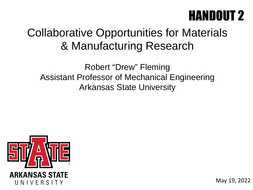## HANDOUT 2

### Collaborative Opportunities for Materials & Manufacturing Research

Robert "Drew" Fleming Assistant Professor of Mechanical Engineering Arkansas State University



May 19, 2022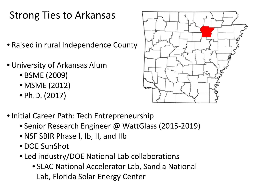### Strong Ties to Arkansas

- Raised in rural Independence County
- University of Arkansas Alum
	- BSME (2009)
	- MSME (2012)
	- Ph.D. (2017)



- Initial Career Path: Tech Entrepreneurship
	- Senior Research Engineer @ WattGlass (2015-2019)
	- NSF SBIR Phase I, Ib, II, and IIb
	- DOE SunShot
	- Led industry/DOE National Lab collaborations
		- SLAC National Accelerator Lab, Sandia National Lab, Florida Solar Energy Center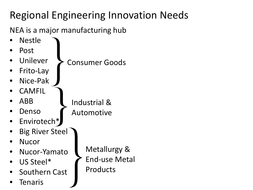### Regional Engineering Innovation Needs

NEA is a major manufacturing hub

- Nestle
- Post
- **Unilever** Consumer Goods
- Frito-Lay
- Nice-Pak
- **CAMFIL**

**Denso** 

• ABB

- Industrial & Automotive
- Envirotech\*
- **Big River Steel**
- Nucor
- Nucor-Yamato
- US Steel\*
- Southern Cast
- **Tenaris**

Metallurgy & End-use Metal Products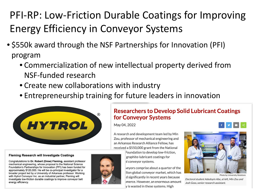### PFI-RP: Low-Friction Durable Coatings for Improving Energy Efficiency in Conveyor Systems

- \$550k award through the NSF Partnerships for Innovation (PFI) program
	- Commercialization of new intellectual property derived from NSF-funded research
	- Create new collaborations with industry
	- Entrepreneurship training for future leaders in innovation



### **Researchers to Develop Solid Lubricant Coatings for Conveyor Systems**

May 04, 2022

A research and development team led by Min Zou, professor of mechanical engineering and an Arkansas Research Alliance Fellow, has received a \$550,000 grant from the National

Foundation to develop low-friction, graphite-lubricant coatings for al conveyor systems.

veyors comprise about a quarter of the llion global conveyor market, which has d significantly in recent years because imerce. However, an enormous amount y is wasted in these systems. High



**Photo by University Relations** 

Doctoral student Adedoyin Abe, at left, Min Zou and Josh Goss, senior research assistant.

#### **Fleming Research will Investigate Coatings**

Congratulations to Dr. Robert (Drew) Fleming, assistant professor mechanical engineering, whose proposal to the National Science Foundation's Partnerships for Innovation (PFI) has been funded for approximately \$120,000. He will be co-principal investigator for a broader project led by a University of Arkansas professor. Working with Hytrol Conveyor Inc. as an industrial partner, Fleming will investigate low-friction durable coatings to improve conveyor belt energy efficiency.

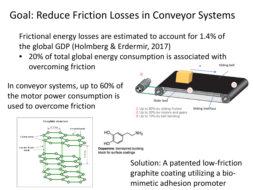### Goal: Reduce Friction Losses in Conveyor Systems

Frictional energy losses are estimated to account for 1.4% of the global GDP (Holmberg & Erdermir, 2017)

• 20% of total global energy consumption is associated with overcoming friction  $\overline{\phantom{0}}$  sliding belt v

In conveyor systems, up to 60% of the motor power consumption is used to overcome friction







Dopamine: bioinspired building block for surface coatings

Solution: A patented low-friction graphite coating utilizing a biomimetic adhesion promoter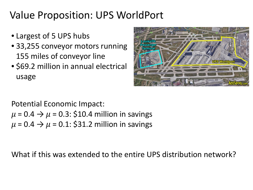### Value Proposition: UPS WorldPort

- Largest of 5 UPS hubs
- 33,255 conveyor motors running 155 miles of conveyor line
- \$69.2 million in annual electrical usage



Potential Economic Impact:

 $\mu$  = 0.4  $\rightarrow$   $\mu$  = 0.3: \$10.4 million in savings  $\mu$  = 0.4  $\rightarrow$   $\mu$  = 0.1: \$31.2 million in savings

What if this was extended to the entire UPS distribution network?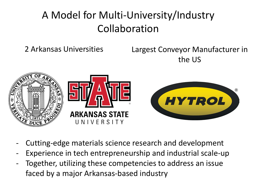### A Model for Multi-University/Industry Collaboration

2 Arkansas Universities Largest Conveyor Manufacturer in the US



- Cutting-edge materials science research and development
- Experience in tech entrepreneurship and industrial scale-up
- Together, utilizing these competencies to address an issue faced by a major Arkansas-based industry